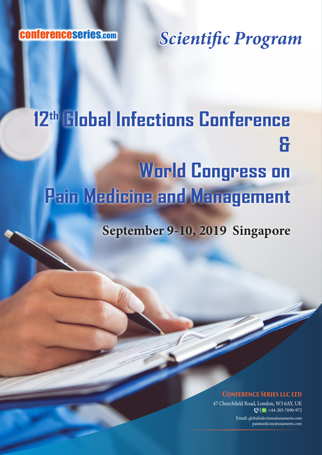conferenceseries.com

*Scientific Program*

## **12th Global Infections Conference & World Congress on Pain Medicine and Management**

**September 9-10, 2019 Singapore**

## **CONFERENCE SERIES LLC LTD**

47 Churchfield Road, London, W3 6AY, UK  $\bigcirc$  |  $\circ$  : +44-203-7690-972

> Email: globalinfections@asiameets.com painmedicine@asiameets.com